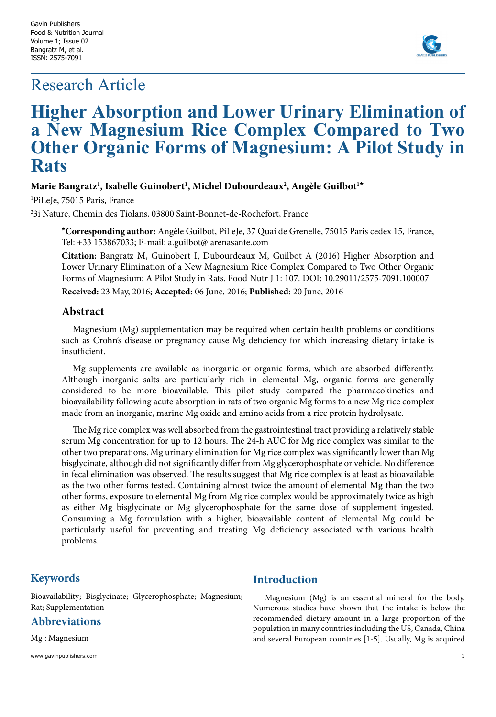# Research Article



# **Higher Absorption and Lower Urinary Elimination of a New Magnesium Rice Complex Compared to Two Other Organic Forms of Magnesium: A Pilot Study in Rats**

## **Marie Bangratz1 , Isabelle Guinobert1 , Michel Dubourdeaux2 , Angèle Guilbot1 \***

1 PiLeJe, 75015 Paris, France

2 3i Nature, Chemin des Tiolans, 03800 Saint-Bonnet-de-Rochefort, France

**\*Corresponding author:** Angèle Guilbot, PiLeJe, 37 Quai de Grenelle, 75015 Paris cedex 15, France, Tel: +33 153867033; E-mail: a.guilbot@larenasante.com

**Citation:** Bangratz M, Guinobert I, Dubourdeaux M, Guilbot A (2016) Higher Absorption and Lower Urinary Elimination of a New Magnesium Rice Complex Compared to Two Other Organic Forms of Magnesium: A Pilot Study in Rats. Food Nutr J 1: 107. DOI: 10.29011/2575-7091.100007

**Received:** 23 May, 2016; **Accepted:** 06 June, 2016; **Published:** 20 June, 2016

### **Abstract**

Magnesium (Mg) supplementation may be required when certain health problems or conditions such as Crohn's disease or pregnancy cause Mg deficiency for which increasing dietary intake is insufficient.

Mg supplements are available as inorganic or organic forms, which are absorbed differently. Although inorganic salts are particularly rich in elemental Mg, organic forms are generally considered to be more bioavailable. This pilot study compared the pharmacokinetics and bioavailability following acute absorption in rats of two organic Mg forms to a new Mg rice complex made from an inorganic, marine Mg oxide and amino acids from a rice protein hydrolysate.

The Mg rice complex was well absorbed from the gastrointestinal tract providing a relatively stable serum Mg concentration for up to 12 hours. The 24-h AUC for Mg rice complex was similar to the other two preparations. Mg urinary elimination for Mg rice complex was significantly lower than Mg bisglycinate, although did not significantly differ from Mg glycerophosphate or vehicle. No difference in fecal elimination was observed. The results suggest that Mg rice complex is at least as bioavailable as the two other forms tested. Containing almost twice the amount of elemental Mg than the two other forms, exposure to elemental Mg from Mg rice complex would be approximately twice as high as either Mg bisglycinate or Mg glycerophosphate for the same dose of supplement ingested. Consuming a Mg formulation with a higher, bioavailable content of elemental Mg could be particularly useful for preventing and treating Mg deficiency associated with various health problems.

# **Keywords**

Bioavailability; Bisglycinate; Glycerophosphate; Magnesium; Rat; Supplementation

# **Abbreviations**

Mg : Magnesium

www.gavinpublishers.com 1

## **Introduction**

Magnesium (Mg) is an essential mineral for the body. Numerous studies have shown that the intake is below the recommended dietary amount in a large proportion of the population in many countries including the US, Canada, China and several European countries [1-5]. Usually, Mg is acquired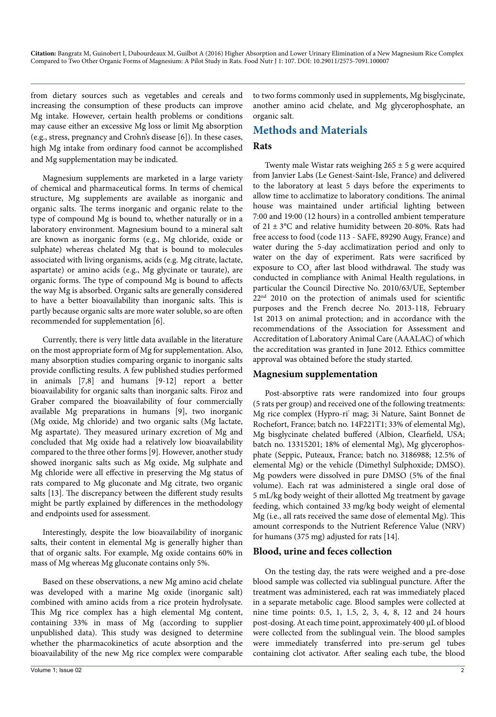from dietary sources such as vegetables and cereals and increasing the consumption of these products can improve Mg intake. However, certain health problems or conditions may cause either an excessive Mg loss or limit Mg absorption (e.g., stress, pregnancy and Crohn's disease [6]). In these cases, high Mg intake from ordinary food cannot be accomplished and Mg supplementation may be indicated.

Magnesium supplements are marketed in a large variety of chemical and pharmaceutical forms. In terms of chemical structure, Mg supplements are available as inorganic and organic salts. The terms inorganic and organic relate to the type of compound Mg is bound to, whether naturally or in a laboratory environment. Magnesium bound to a mineral salt are known as inorganic forms (e.g., Mg chloride, oxide or sulphate) whereas chelated Mg that is bound to molecules associated with living organisms, acids (e.g. Mg citrate, lactate, aspartate) or amino acids (e.g., Mg glycinate or taurate), are organic forms. The type of compound Mg is bound to affects the way Mg is absorbed. Organic salts are generally considered to have a better bioavailability than inorganic salts. This is partly because organic salts are more water soluble, so are often recommended for supplementation [6].

Currently, there is very little data available in the literature on the most appropriate form of Mg for supplementation. Also, many absorption studies comparing organic to inorganic salts provide conflicting results. A few published studies performed in animals [7,8] and humans [9-12] report a better bioavailability for organic salts than inorganic salts. Firoz and Graber compared the bioavailability of four commercially available Mg preparations in humans [9], two inorganic (Mg oxide, Mg chloride) and two organic salts (Mg lactate, Mg aspartate). They measured urinary excretion of Mg and concluded that Mg oxide had a relatively low bioavailability compared to the three other forms [9]. However, another study showed inorganic salts such as Mg oxide, Mg sulphate and Mg chloride were all effective in preserving the Mg status of rats compared to Mg gluconate and Mg citrate, two organic salts [13]. The discrepancy between the different study results might be partly explained by differences in the methodology and endpoints used for assessment.

Interestingly, despite the low bioavailability of inorganic salts, their content in elemental Mg is generally higher than that of organic salts. For example, Mg oxide contains 60% in mass of Mg whereas Mg gluconate contains only 5%.

Based on these observations, a new Mg amino acid chelate was developed with a marine Mg oxide (inorganic salt) combined with amino acids from a rice protein hydrolysate. This Mg rice complex has a high elemental Mg content, containing 33% in mass of Mg (according to supplier unpublished data). This study was designed to determine whether the pharmacokinetics of acute absorption and the bioavailability of the new Mg rice complex were comparable

to two forms commonly used in supplements, Mg bisglycinate, another amino acid chelate, and Mg glycerophosphate, an organic salt.

## **Methods and Materials**

#### **Rats**

Twenty male Wistar rats weighing  $265 \pm 5$  g were acquired from Janvier Labs (Le Genest-Saint-Isle, France) and delivered to the laboratory at least 5 days before the experiments to allow time to acclimatize to laboratory conditions. The animal house was maintained under artificial lighting between 7:00 and 19:00 (12 hours) in a controlled ambient temperature of  $21 \pm 3$ °C and relative humidity between 20-80%. Rats had free access to food (code 113 - SAFE, 89290 Augy, France) and water during the 5-day acclimatization period and only to water on the day of experiment. Rats were sacrificed by exposure to  $\mathrm{CO}_2$  after last blood withdrawal. The study was conducted in compliance with Animal Health regulations, in particular the Council Directive No. 2010/63/UE, September  $22<sup>nd</sup>$  2010 on the protection of animals used for scientific purposes and the French decree No. 2013-118, February 1st 2013 on animal protection; and in accordance with the recommendations of the Association for Assessment and Accreditation of Laboratory Animal Care (AAALAC) of which the accreditation was granted in June 2012. Ethics committee approval was obtained before the study started.

#### **Magnesium supplementation**

Post-absorptive rats were randomized into four groups (5 rats per group) and received one of the following treatments: Mg rice complex (Hypro-ri° mag; 3i Nature, Saint Bonnet de Rochefort, France; batch no. 14F221T1; 33% of elemental Mg), Mg bisglycinate chelated buffered (Albion, Clearfield, USA; batch no. 13315201; 18% of elemental Mg), Mg glycerophosphate (Seppic, Puteaux, France; batch no. 3186988; 12.5% of elemental Mg) or the vehicle (Dimethyl Sulphoxide; DMSO). Mg powders were dissolved in pure DMSO (5% of the final volume). Each rat was administered a single oral dose of 5 mL/kg body weight of their allotted Mg treatment by gavage feeding, which contained 33 mg/kg body weight of elemental Mg (i.e., all rats received the same dose of elemental Mg). This amount corresponds to the Nutrient Reference Value (NRV) for humans (375 mg) adjusted for rats [14].

#### **Blood, urine and feces collection**

On the testing day, the rats were weighed and a pre-dose blood sample was collected via sublingual puncture. After the treatment was administered, each rat was immediately placed in a separate metabolic cage. Blood samples were collected at nine time points: 0.5, 1, 1.5, 2, 3, 4, 8, 12 and 24 hours post-dosing. At each time point, approximately 400 µL of blood were collected from the sublingual vein. The blood samples were immediately transferred into pre-serum gel tubes containing clot activator. After sealing each tube, the blood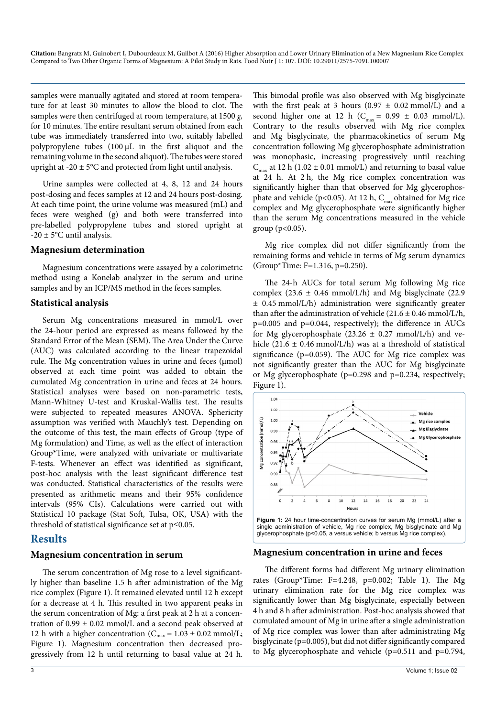samples were manually agitated and stored at room temperature for at least 30 minutes to allow the blood to clot. The samples were then centrifuged at room temperature, at 1500 *g,*  for 10 minutes. The entire resultant serum obtained from each tube was immediately transferred into two, suitably labelled polypropylene tubes (100 µL in the first aliquot and the remaining volume in the second aliquot). The tubes were stored upright at  $-20 \pm 5^{\circ}$ C and protected from light until analysis.

Urine samples were collected at 4, 8, 12 and 24 hours post-dosing and feces samples at 12 and 24 hours post-dosing. At each time point, the urine volume was measured (mL) and feces were weighed (g) and both were transferred into pre-labelled polypropylene tubes and stored upright at  $-20 \pm 5$ °C until analysis.

#### **Magnesium determination**

Magnesium concentrations were assayed by a colorimetric method using a Konelab analyzer in the serum and urine samples and by an ICP/MS method in the feces samples.

#### **Statistical analysis**

Serum Mg concentrations measured in mmol/L over the 24-hour period are expressed as means followed by the Standard Error of the Mean (SEM). The Area Under the Curve (AUC) was calculated according to the linear trapezoidal rule. The Mg concentration values in urine and feces (µmol) observed at each time point was added to obtain the cumulated Mg concentration in urine and feces at 24 hours. Statistical analyses were based on non-parametric tests, Mann-Whitney U-test and Kruskal-Wallis test. The results were subjected to repeated measures ANOVA. Sphericity assumption was verified with Mauchly's test. Depending on the outcome of this test, the main effects of Group (type of Mg formulation) and Time, as well as the effect of interaction Group\*Time, were analyzed with univariate or multivariate F-tests. Whenever an effect was identified as significant, post-hoc analysis with the least significant difference test was conducted. Statistical characteristics of the results were presented as arithmetic means and their 95% confidence intervals (95% CIs). Calculations were carried out with Statistical 10 package (Stat Soft, Tulsa, OK, USA) with the threshold of statistical significance set at p≤0.05.

## **Results**

# **Magnesium concentration in serum**

The serum concentration of Mg rose to a level significantly higher than baseline 1.5 h after administration of the Mg rice complex (Figure 1). It remained elevated until 12 h except for a decrease at 4 h. This resulted in two apparent peaks in the serum concentration of Mg: a first peak at 2 h at a concentration of  $0.99 \pm 0.02$  mmol/L and a second peak observed at 12 h with a higher concentration ( $C_{\text{max}} = 1.03 \pm 0.02 \text{ mmol/L}$ ; Figure 1). Magnesium concentration then decreased progressively from 12 h until returning to basal value at 24 h. This bimodal profile was also observed with Mg bisglycinate with the first peak at 3 hours (0.97  $\pm$  0.02 mmol/L) and a second higher one at 12 h ( $C_{max} = 0.99 \pm 0.03$  mmol/L). Contrary to the results observed with Mg rice complex and Mg bisglycinate, the pharmacokinetics of serum Mg concentration following Mg glycerophosphate administration was monophasic, increasing progressively until reaching  $C_{\text{max}}$  at 12 h (1.02 ± 0.01 mmol/L) and returning to basal value at 24 h. At 2 h, the Mg rice complex concentration was significantly higher than that observed for Mg glycerophosphate and vehicle (p<0.05). At 12 h,  $C_{max}$  obtained for Mg rice complex and Mg glycerophosphate were significantly higher than the serum Mg concentrations measured in the vehicle group  $(p<0.05)$ .

Mg rice complex did not differ significantly from the remaining forms and vehicle in terms of Mg serum dynamics (Group\*Time: F=1.316, p=0.250).

The 24-h AUCs for total serum Mg following Mg rice complex (23.6  $\pm$  0.46 mmol/L/h) and Mg bisglycinate (22.9  $\pm$  0.45 mmol/L/h) administration were significantly greater than after the administration of vehicle  $(21.6 \pm 0.46 \text{ mmol/L/h}$ , p=0.005 and p=0.044, respectively); the difference in AUCs for Mg glycerophosphate (23.26  $\pm$  0.27 mmol/L/h) and vehicle  $(21.6 \pm 0.46 \text{ mmol/L/h})$  was at a threshold of statistical significance (p=0.059). The AUC for Mg rice complex was not significantly greater than the AUC for Mg bisglycinate or Mg glycerophosphate (p=0.298 and p=0.234, respectively; Figure 1).





#### **Magnesium concentration in urine and feces**

The different forms had different Mg urinary elimination rates (Group\*Time: F=4.248, p=0.002; Table 1). The Mg urinary elimination rate for the Mg rice complex was significantly lower than Mg bisglycinate, especially between 4 h and 8 h after administration. Post-hoc analysis showed that cumulated amount of Mg in urine after a single administration of Mg rice complex was lower than after administrating Mg bisglycinate (p=0.005), but did not differ significantly compared to Mg glycerophosphate and vehicle (p=0.511 and p=0.794,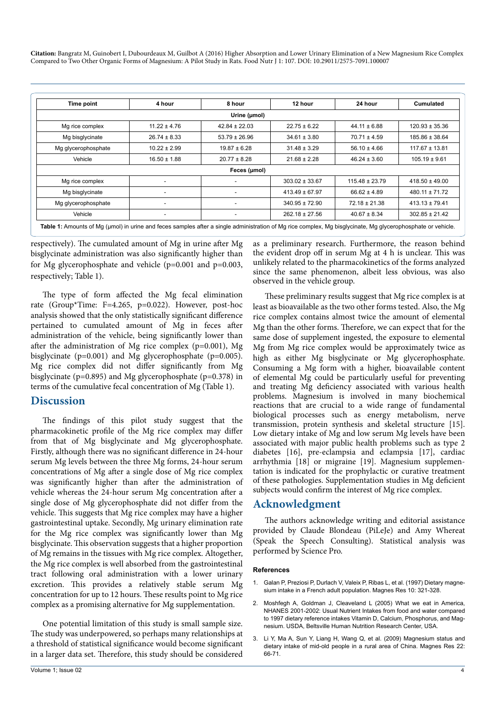**Citation:** Bangratz M, Guinobert I, Dubourdeaux M, Guilbot A (2016) Higher Absorption and Lower Urinary Elimination of a New Magnesium Rice Complex Compared to Two Other Organic Forms of Magnesium: A Pilot Study in Rats. Food Nutr J 1: 107. DOI: 10.29011/2575-7091.100007

| Time point          | 4 hour                   | 8 hour                   | 12 hour            | 24 hour            | <b>Cumulated</b>   |
|---------------------|--------------------------|--------------------------|--------------------|--------------------|--------------------|
|                     |                          | Urine (µmol)             |                    |                    |                    |
| Mg rice complex     | $11.22 \pm 4.76$         | $42.84 \pm 22.03$        | $22.75 \pm 6.22$   | $44.11 \pm 6.88$   | $120.93 \pm 35.36$ |
| Mg bisglycinate     | $26.74 \pm 8.33$         | $53.79 \pm 26.96$        | $34.61 \pm 3.80$   | $70.71 \pm 4.59$   | 185.86 ± 38.64     |
| Mg glycerophosphate | $10.22 \pm 2.99$         | $19.87 \pm 6.28$         | $31.48 \pm 3.29$   | $56.10 \pm 4.66$   | $117.67 \pm 13.81$ |
| Vehicle             | $16.50 \pm 1.88$         | $20.77 \pm 8.28$         | $21.68 \pm 2.28$   | $46.24 \pm 3.60$   | $105.19 \pm 9.61$  |
|                     |                          | Feces (µmol)             |                    |                    |                    |
| Mg rice complex     | ٠                        |                          | $303.02 \pm 33.67$ | $115.48 \pm 23.79$ | $418.50 \pm 49.00$ |
| Mg bisglycinate     | -                        |                          | $413.49 \pm 67.97$ | $66.62 \pm 4.89$   | $480.11 \pm 71.72$ |
| Mg glycerophosphate | $\blacksquare$           |                          | $340.95 \pm 72.90$ | $72.18 \pm 21.38$  | $413.13 \pm 79.41$ |
| Vehicle             | $\overline{\phantom{a}}$ | $\overline{\phantom{a}}$ | $262.18 \pm 27.56$ | $40.67 \pm 8.34$   | $302.85 \pm 21.42$ |

Table 1: Amounts of Mg (µmol) in urine and feces samples after a single administration of Mg rice complex, Mg bisglycinate, Mg glycerophosphate or vehicle.

respectively). The cumulated amount of Mg in urine after Mg bisglycinate administration was also significantly higher than for Mg glycerophosphate and vehicle (p=0.001 and p=0.003, respectively; Table 1).

The type of form affected the Mg fecal elimination rate (Group\*Time: F=4.265, p=0.022). However, post-hoc analysis showed that the only statistically significant difference pertained to cumulated amount of Mg in feces after administration of the vehicle, being significantly lower than after the administration of Mg rice complex (p=0.001), Mg bisglycinate (p=0.001) and Mg glycerophosphate (p=0.005). Mg rice complex did not differ significantly from Mg bisglycinate (p=0.895) and Mg glycerophosphate (p=0.378) in terms of the cumulative fecal concentration of Mg (Table 1).

#### **Discussion**

The findings of this pilot study suggest that the pharmacokinetic profile of the Mg rice complex may differ from that of Mg bisglycinate and Mg glycerophosphate. Firstly, although there was no significant difference in 24-hour serum Mg levels between the three Mg forms, 24-hour serum concentrations of Mg after a single dose of Mg rice complex was significantly higher than after the administration of vehicle whereas the 24-hour serum Mg concentration after a single dose of Mg glycerophosphate did not differ from the vehicle. This suggests that Mg rice complex may have a higher gastrointestinal uptake. Secondly, Mg urinary elimination rate for the Mg rice complex was significantly lower than Mg bisglycinate. This observation suggests that a higher proportion of Mg remains in the tissues with Mg rice complex. Altogether, the Mg rice complex is well absorbed from the gastrointestinal tract following oral administration with a lower urinary excretion. This provides a relatively stable serum Mg concentration for up to 12 hours. These results point to Mg rice complex as a promising alternative for Mg supplementation.

One potential limitation of this study is small sample size. The study was underpowered, so perhaps many relationships at a threshold of statistical significance would become significant in a larger data set. Therefore, this study should be considered as a preliminary research. Furthermore, the reason behind the evident drop off in serum Mg at 4 h is unclear. This was unlikely related to the pharmacokinetics of the forms analyzed since the same phenomenon, albeit less obvious, was also observed in the vehicle group.

These preliminary results suggest that Mg rice complex is at least as bioavailable as the two other forms tested. Also, the Mg rice complex contains almost twice the amount of elemental Mg than the other forms. Therefore, we can expect that for the same dose of supplement ingested, the exposure to elemental Mg from Mg rice complex would be approximately twice as high as either Mg bisglycinate or Mg glycerophosphate. Consuming a Mg form with a higher, bioavailable content of elemental Mg could be particularly useful for preventing and treating Mg deficiency associated with various health problems. Magnesium is involved in many biochemical reactions that are crucial to a wide range of fundamental biological processes such as energy metabolism, nerve transmission, protein synthesis and skeletal structure [15]. Low dietary intake of Mg and low serum Mg levels have been associated with major public health problems such as type 2 diabetes [16], pre-eclampsia and eclampsia [17], cardiac arrhythmia [18] or migraine [19]. Magnesium supplementation is indicated for the prophylactic or curative treatment of these pathologies. Supplementation studies in Mg deficient subjects would confirm the interest of Mg rice complex.

## **Acknowledgment**

The authors acknowledge writing and editorial assistance provided by Claude Blondeau (PiLeJe) and Amy Whereat (Speak the Speech Consulting). Statistical analysis was performed by Science Pro.

#### **References**

- 1. [Galan P, Preziosi P, Durlach V, Valeix P, Ribas L, et al. \(1997\) Dietary magne](http://www.ncbi.nlm.nih.gov/pubmed/9513928)[sium intake in a French adult population. Magnes Res 10: 321-328.](http://www.ncbi.nlm.nih.gov/pubmed/9513928)
- 2. [Moshfegh A, Goldman J, Cleaveland L \(2005\) What we eat in America,](https://www.ars.usda.gov/SP2UserFiles/Place/80400530/pdf/0506/usual_nutrient_intake_vitD_ca_phos_mg_2005-06.pdf)  [NHANES 2001-2002: Usual Nutrient Intakes from food and water compared](https://www.ars.usda.gov/SP2UserFiles/Place/80400530/pdf/0506/usual_nutrient_intake_vitD_ca_phos_mg_2005-06.pdf)  [to 1997 dietary reference intakes Vitamin D, Calcium, Phosphorus, and Mag](https://www.ars.usda.gov/SP2UserFiles/Place/80400530/pdf/0506/usual_nutrient_intake_vitD_ca_phos_mg_2005-06.pdf)[nesium. USDA, Beltsville Human Nutrition Research Center, USA.](https://www.ars.usda.gov/SP2UserFiles/Place/80400530/pdf/0506/usual_nutrient_intake_vitD_ca_phos_mg_2005-06.pdf)
- 3. [Li Y, Ma A, Sun Y, Liang H, Wang Q, et al. \(2009\) Magnesium status and](http://www.ncbi.nlm.nih.gov/pubmed/19658275)  [dietary intake of mid-old people in a rural area of China. Magnes Res 22:](http://www.ncbi.nlm.nih.gov/pubmed/19658275)  [66-71.](http://www.ncbi.nlm.nih.gov/pubmed/19658275)